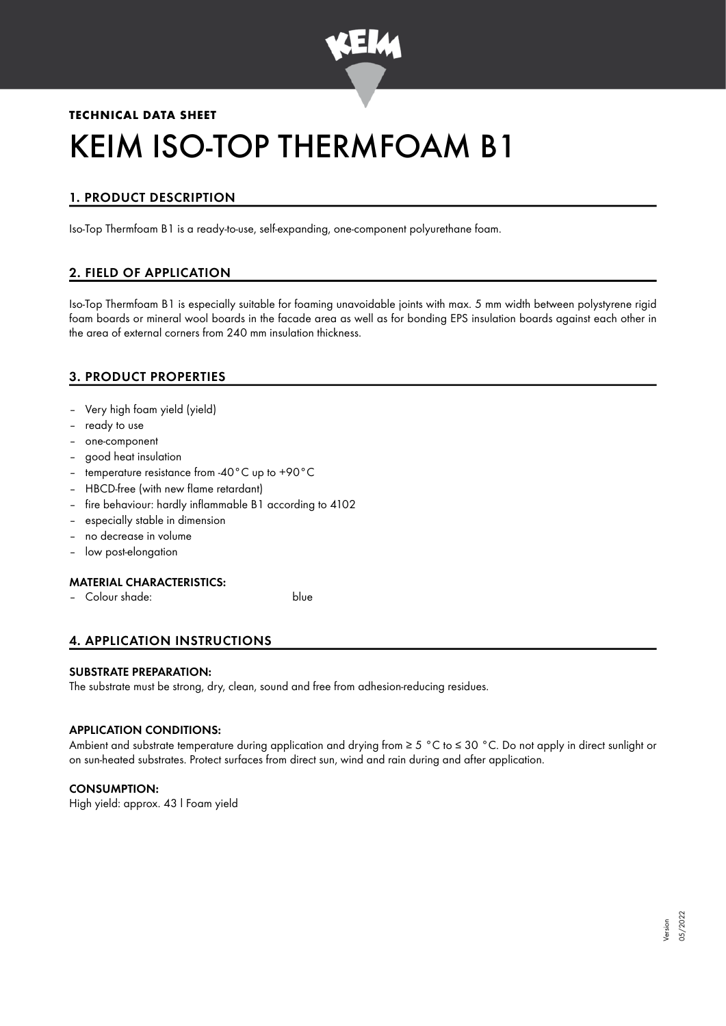

# **TECHNICAL DATA SHEET** KEIM ISO-TOP THERMFOAM B1

# 1. PRODUCT DESCRIPTION

Iso-Top Thermfoam B1 is a ready-to-use, self-expanding, one-component polyurethane foam.

# 2. FIELD OF APPLICATION

Iso-Top Thermfoam B1 is especially suitable for foaming unavoidable joints with max. 5 mm width between polystyrene rigid foam boards or mineral wool boards in the facade area as well as for bonding EPS insulation boards against each other in the area of external corners from 240 mm insulation thickness.

# 3. PRODUCT PROPERTIES

- Very high foam yield (yield)
- ready to use
- one-component
- good heat insulation
- temperature resistance from -40°C up to +90°C
- HBCD-free (with new flame retardant)
- fire behaviour: hardly inflammable B1 according to 4102
- especially stable in dimension
- no decrease in volume
- low post-elongation

# MATERIAL CHARACTERISTICS:

– Colour shade: blue

# 4. APPLICATION INSTRUCTIONS

#### SUBSTRATE PREPARATION:

The substrate must be strong, dry, clean, sound and free from adhesion-reducing residues.

# APPLICATION CONDITIONS:

Ambient and substrate temperature during application and drying from ≥ 5 °C to ≤ 30 °C. Do not apply in direct sunlight or on sun-heated substrates. Protect surfaces from direct sun, wind and rain during and after application.

# CONSUMPTION:

High yield: approx. 43 l Foam yield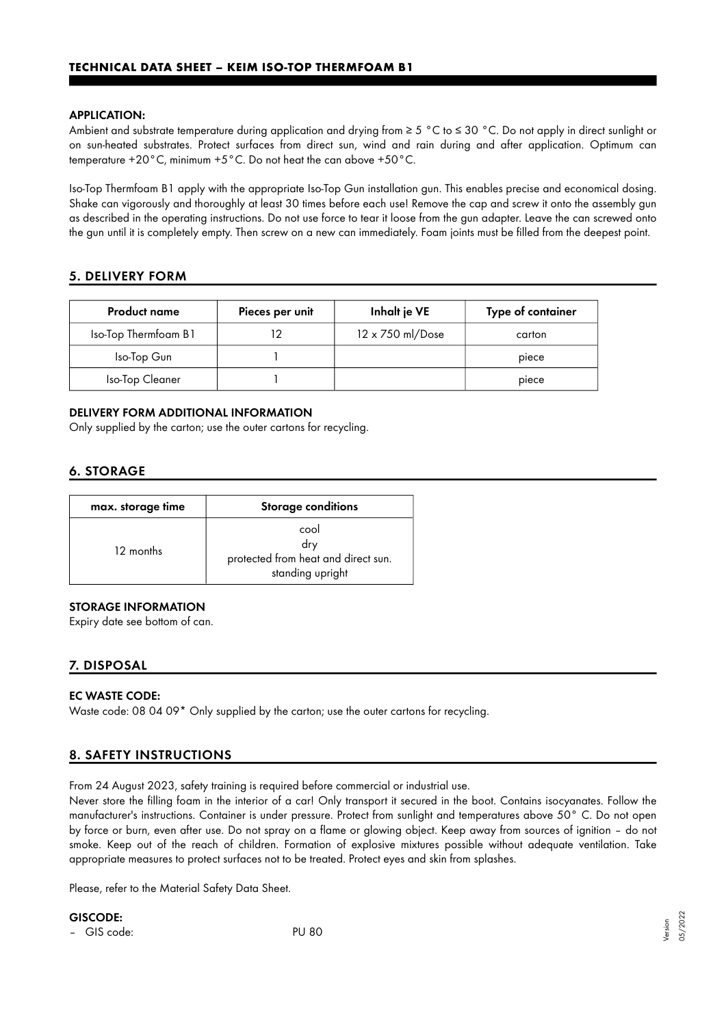#### APPLICATION:

Ambient and substrate temperature during application and drying from ≥ 5 °C to ≤ 30 °C. Do not apply in direct sunlight or on sun-heated substrates. Protect surfaces from direct sun, wind and rain during and after application. Optimum can temperature +20°C, minimum +5°C. Do not heat the can above +50°C.

Iso-Top Thermfoam B1 apply with the appropriate Iso-Top Gun installation gun. This enables precise and economical dosing. Shake can vigorously and thoroughly at least 30 times before each use! Remove the cap and screw it onto the assembly gun as described in the operating instructions. Do not use force to tear it loose from the gun adapter. Leave the can screwed onto the gun until it is completely empty. Then screw on a new can immediately. Foam joints must be filled from the deepest point.

# 5. DELIVERY FORM

| <b>Product name</b>  | Pieces per unit | Inhalt je VE     | Type of container |
|----------------------|-----------------|------------------|-------------------|
| Iso-Top Thermfoam B1 |                 | 12 x 750 ml/Dose | carton            |
| Iso-Top Gun          |                 |                  | piece             |
| Iso-Top Cleaner      |                 |                  | piece             |

#### DELIVERY FORM ADDITIONAL INFORMATION

Only supplied by the carton; use the outer cartons for recycling.

# 6. STORAGE

| max. storage time | <b>Storage conditions</b>                                              |  |
|-------------------|------------------------------------------------------------------------|--|
| 12 months         | cool<br>dry<br>protected from heat and direct sun.<br>standing upright |  |

# STORAGE INFORMATION

Expiry date see bottom of can.

# 7. DISPOSAL

#### EC WASTE CODE:

Waste code: 08 04 09\* Only supplied by the carton; use the outer cartons for recycling.

# 8. SAFETY INSTRUCTIONS

From 24 August 2023, safety training is required before commercial or industrial use.

Never store the filling foam in the interior of a car! Only transport it secured in the boot. Contains isocyanates. Follow the manufacturer's instructions. Container is under pressure. Protect from sunlight and temperatures above 50° C. Do not open by force or burn, even after use. Do not spray on a flame or glowing object. Keep away from sources of ignition – do not smoke. Keep out of the reach of children. Formation of explosive mixtures possible without adequate ventilation. Take appropriate measures to protect surfaces not to be treated. Protect eyes and skin from splashes.

Please, refer to the Material Safety Data Sheet.

GISCODE:

– GIS code: PU 80